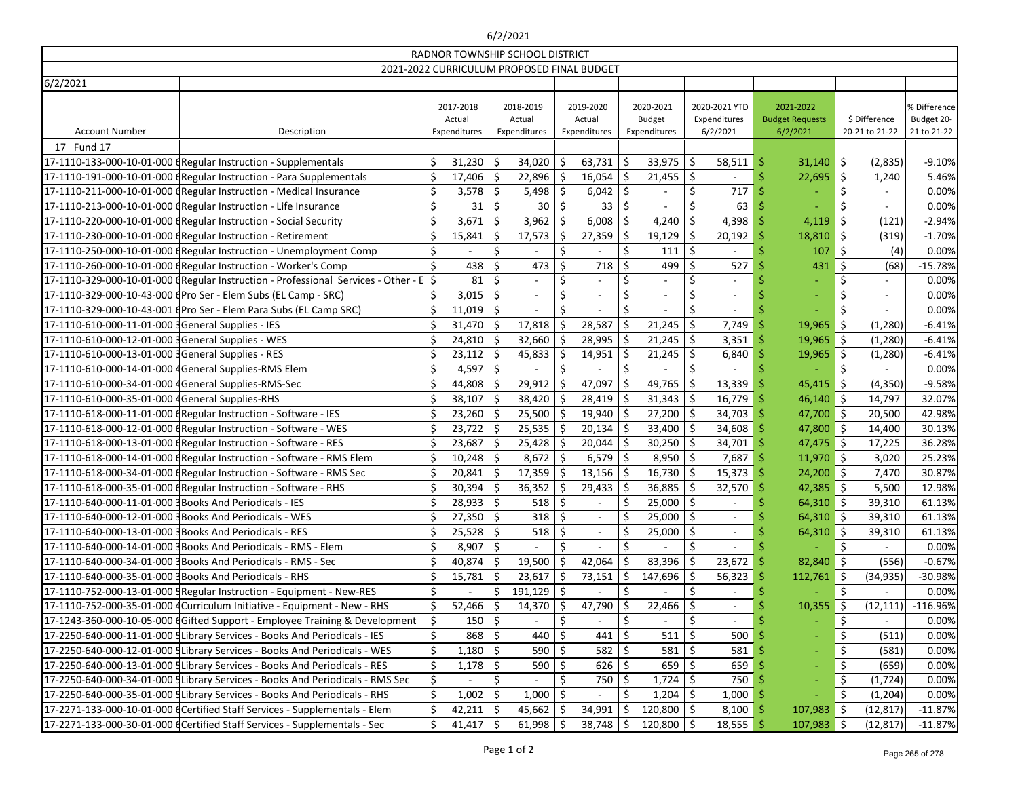# 6/2/2021

| RADNOR TOWNSHIP SCHOOL DISTRICT                                                       |  |              |                                            |         |                          |         |                |                                     |                        |                     |              |
|---------------------------------------------------------------------------------------|--|--------------|--------------------------------------------|---------|--------------------------|---------|----------------|-------------------------------------|------------------------|---------------------|--------------|
|                                                                                       |  |              | 2021-2022 CURRICULUM PROPOSED FINAL BUDGET |         |                          |         |                |                                     |                        |                     |              |
| 6/2/2021                                                                              |  |              |                                            |         |                          |         |                |                                     |                        |                     |              |
|                                                                                       |  | 2017-2018    | 2018-2019                                  |         | 2019-2020                |         | 2020-2021      | 2020-2021 YTD                       | 2021-2022              |                     | % Difference |
|                                                                                       |  | Actual       | Actual                                     |         | Actual                   |         | <b>Budget</b>  | Expenditures                        | <b>Budget Requests</b> | \$ Difference       | Budget 20-   |
| <b>Account Number</b><br>Description                                                  |  | Expenditures | Expenditures                               |         | Expenditures             |         | Expenditures   | 6/2/2021                            | 6/2/2021               | 20-21 to 21-22      | 21 to 21-22  |
| 17 Fund 17                                                                            |  |              |                                            |         |                          |         |                |                                     |                        |                     |              |
| 17-1110-133-000-10-01-000 (Regular Instruction - Supplementals                        |  | 31,230       | 34,020                                     |         | $63,731$ \$              |         | 33,975         | \$<br>58,511                        | $31,140$ \$<br>Ŝ       | (2,835)             | $-9.10%$     |
| 17-1110-191-000-10-01-000 (Regular Instruction - Para Supplementals                   |  | 17,406       | 22,896                                     | \$      | $16,054$ \$              |         | 21,455         | $\zeta$                             | $22,695$ \$            | 1,240               | 5.46%        |
| 17-1110-211-000-10-01-000 (Regular Instruction - Medical Insurance                    |  | 3,578        | 5,498                                      | -Ŝ      | $6,042$ \$               |         |                | \$<br>717                           |                        | \$                  | 0.00%        |
| 17-1110-213-000-10-01-000 (Regular Instruction - Life Insurance                       |  | 31           | Ś<br>30                                    | \$      | 33                       | \$      |                | \$<br>63                            |                        | $\zeta$             | 0.00%        |
| 17-1110-220-000-10-01-000 (Regular Instruction - Social Security                      |  | 3,671        | \$<br>$3,962$ \$                           |         | $6,008$ \$               |         | 4,240          | \$<br>4,398                         | 4,119                  | \$<br>(121)         | $-2.94%$     |
| 17-1110-230-000-10-01-000 (Regular Instruction - Retirement                           |  | 15,841       | 17,573                                     | Ŝ.      | $27,359$ \$              |         | 19,129         | \$<br>20,192                        | $18,810$ \$            | (319)               | $-1.70%$     |
| 17-1110-250-000-10-01-000 (Regular Instruction - Unemployment Comp                    |  |              |                                            | \$      |                          | \$      | 111            | \$                                  | 107                    | \$<br>(4)           | 0.00%        |
| 17-1110-260-000-10-01-000 (Regular Instruction - Worker's Comp                        |  | 438          | Ś<br>473                                   | \$      | $718$ \$                 |         | 499            | \$<br>527                           | 431                    | \$<br>(68)          | $-15.78%$    |
| 17-1110-329-000-10-01-000 (Regular Instruction - Professional Services - Other - E \$ |  | 81           | \$<br>$\overline{\phantom{a}}$             | \$      | $\overline{\phantom{a}}$ | \$      |                | \$<br>$\overline{\phantom{a}}$      |                        | Ŝ.                  | 0.00%        |
| 17-1110-329-000-10-43-000 (Pro Ser - Elem Subs (EL Camp - SRC)                        |  | 3,015        | Ś<br>$\overline{\phantom{a}}$              | \$      | $\overline{a}$           | \$      |                | $\zeta$<br>$\overline{\phantom{a}}$ |                        |                     | 0.00%        |
| 17-1110-329-000-10-43-001 (Pro Ser - Elem Para Subs (EL Camp SRC)                     |  | 11,019       | \$                                         |         |                          |         |                | \$                                  |                        | \$                  | 0.00%        |
| 17-1110-610-000-11-01-000 3General Supplies - IES                                     |  | 31,470       | Ś<br>17,818                                |         | 28,587                   | 'S      | 21,245         | \$<br>7,749                         | 19,965                 | $\zeta$<br>(1, 280) | $-6.41%$     |
|                                                                                       |  | 24,810       | 32,660<br>S                                | \$      | $28,995$ \$              |         | 21,245         | \$<br>3,351                         | $19,965$ \$<br>-Ŝ      | (1, 280)            | $-6.41%$     |
| 17-1110-610-000-13-01-000 3General Supplies - RES                                     |  | 23,112       | 45,833                                     | \$.     | $14,951$   \$            |         | 21,245         | \$<br>6,840                         | $19,965$ \$            | (1, 280)            | $-6.41%$     |
| 17-1110-610-000-14-01-000 4 General Supplies-RMS Elem                                 |  | 4,597        | Ś.                                         | \$      |                          | $\zeta$ |                | \$                                  |                        | \$                  | 0.00%        |
| 17-1110-610-000-34-01-000 4 General Supplies-RMS-Sec                                  |  | 44,808       | 29,912                                     | \$.     | $47,097$ \$              |         | 49,765         | \$<br>13,339                        | $45,415$ \$            | (4, 350)            | $-9.58%$     |
| 17-1110-610-000-35-01-000 4General Supplies-RHS                                       |  | 38,107       | 38,420                                     | \$      | $28,419$ \$              |         | 31,343         | $\zeta$<br>16,779                   | $46,140$ \$<br>-S      | 14,797              | 32.07%       |
| 17-1110-618-000-11-01-000 (Regular Instruction - Software - IES                       |  | 23,260       | 25,500                                     | \$      | $19,940$ \$              |         | 27,200         | \$<br>$34,703$ \$                   | 47,700 \$              | 20,500              | 42.98%       |
| 17-1110-618-000-12-01-000 (Regular Instruction - Software - WES                       |  | 23,722       | $25,535$   \$<br>Ŝ                         |         | $20,134$   \$            |         | 33,400         | \$<br>34,608                        | 47,800 \$              | 14,400              | 30.13%       |
| 17-1110-618-000-13-01-000 (Regular Instruction - Software - RES                       |  | 23,687       | $25,428$ \$<br>S                           |         | $20,044$ \$              |         | 30,250         | \$<br>$34,701$ \$                   | $47,475$ \$            | 17,225              | 36.28%       |
| 17-1110-618-000-14-01-000 (Regular Instruction - Software - RMS Elem                  |  | 10,248       | 8,672                                      | \$      | $6,579$ \$               |         | 8,950          | \$<br>7,687                         | $11,970$ \$<br>-Ŝ      | 3,020               | 25.23%       |
| 17-1110-618-000-34-01-000 (Regular Instruction - Software - RMS Sec                   |  | 20,841       | 17,359                                     | \$      | $13,156$ \$              |         | 16,730         | \$<br>$15,373$ \$                   | $24,200$ \$            | 7,470               | 30.87%       |
| 17-1110-618-000-35-01-000 (Regular Instruction - Software - RHS                       |  | 30,394       | 36,352                                     |         | $29,433$ \$              |         | 36,885         | 32,570<br>\$.                       | $42,385$ \$            | 5,500               | 12.98%       |
| 17-1110-640-000-11-01-000 3 Books And Periodicals - IES                               |  | 28,933       | ς.<br>518                                  | $\zeta$ |                          | Š.      | 25,000         | $\dot{\mathsf{S}}$                  | 64,310                 | Ŝ.<br>39,310        | 61.13%       |
| 17-1110-640-000-12-01-000 3Books And Periodicals - WES                                |  | 27,350       | $318$ \$<br>\$                             |         | $\overline{\phantom{a}}$ | \$      | $25,000$ \$    | $\overline{\phantom{a}}$            | $64,310$ \$            | 39,310              | 61.13%       |
| 17-1110-640-000-13-01-000 3 Books And Periodicals - RES                               |  | 25,528       | 518<br>\$                                  | Ş       | $\overline{\phantom{a}}$ | \$      | 25,000         | \$<br>$\overline{\phantom{a}}$      | $64,310$ \$            | 39,310              | 61.13%       |
|                                                                                       |  | 8,907        | \$                                         | \$      | $\qquad \qquad -$        | \$      |                | \$<br>$\overline{\phantom{a}}$      |                        | \$                  | 0.00%        |
|                                                                                       |  | 40,874       | 19,500<br>S                                | -\$     | $42,064$ \$              |         | 83,396         | 23,672<br>\$                        | 82,840 \$              | (556)               | $-0.67%$     |
| 17-1110-640-000-35-01-000 3Books And Periodicals - RHS                                |  | 15,781       | $23,617$ \$<br>-S                          |         | $73,151$   \$            |         | 147,696        | -\$<br>56,323                       | $112,761$ \$           | (34, 935)           | -30.98%      |
|                                                                                       |  |              | \$<br>$191,129$ \$                         |         |                          | \$      |                | \$<br>$\overline{\phantom{a}}$      |                        | \$                  | 0.00%        |
| 17-1110-752-000-35-01-000 4 Curriculum Initiative - Equipment - New - RHS             |  | 52,466       | 14,370                                     |         | 47,790                   | .S      | 22,466         | \$<br>$\sim$                        | $10,355$ \$            | (12, 111)           | $-116.96%$   |
| 17-1243-360-000-10-05-000 (Gifted Support - Employee Training & Development           |  | \$<br>150    | \$<br>$\overline{\phantom{a}}$             | \$      | $\overline{\phantom{a}}$ | \$      |                | \$<br>$\overline{\phantom{a}}$      |                        | \$                  | 0.00%        |
| 17-2250-640-000-11-01-000 Library Services - Books And Periodicals - IES              |  | 868          | \$<br>440                                  | \$      | $441 \,$ \$              |         | 511            | \$<br>500                           |                        | \$<br>(511)         | 0.00%        |
| 17-2250-640-000-12-01-000 Library Services - Books And Periodicals - WES              |  | 1,180        | Ŝ<br>590                                   | -S      | $582 \mid 5$             |         | 581            | \$<br>581                           |                        | \$<br>(581)         | 0.00%        |
| 17-2250-640-000-13-01-000 Library Services - Books And Periodicals - RES              |  | 1,178        | \$<br>$590$ \$                             |         | $626$ \$                 |         | 659            | \$<br>659                           |                        | \$<br>(659)         | 0.00%        |
| 17-2250-640-000-34-01-000 Library Services - Books And Periodicals - RMS Sec          |  | \$           | \$                                         | \$      | $750  $ \$               |         | 1,724          | 750<br>\$                           |                        | \$<br>(1, 724)      | 0.00%        |
| 17-2250-640-000-35-01-000 Library Services - Books And Periodicals - RHS              |  | 1,002        | \$<br>$1,000$   \$                         |         |                          | Ŝ       | $1,204$   \$   | 1,000                               |                        | \$<br>(1,204)       | 0.00%        |
| 17-2271-133-000-10-01-000 dCertified Staff Services - Supplementals - Elem            |  | 42,211       | $45,662$ \$<br>-\$                         |         | $34,991$   \$            |         | $120,800$ \$   | $8,100$ \$                          | $107,983$ \$           | (12, 817)           | $-11.87%$    |
| 17-2271-133-000-30-01-000 (Certified Staff Services - Supplementals - Sec             |  | 41,417       | $61,998$ \$                                |         | $38,748$ \$              |         | $120,800$   \$ | 18,555                              | $107,983$ \$<br>-S     | (12, 817)           | $-11.87%$    |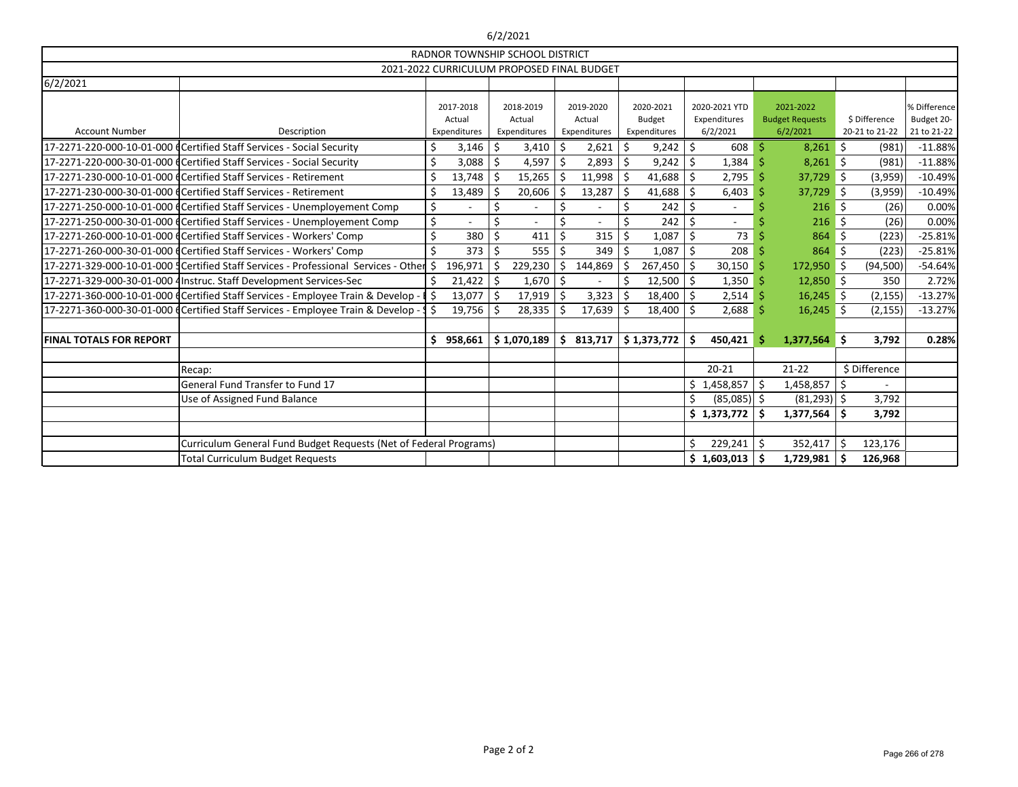## 6/2/2021

| RADNOR TOWNSHIP SCHOOL DISTRICT            |                                                                                      |    |                     |                     |     |                     |  |                            |    |                               |    |                                     |            |                          |                            |
|--------------------------------------------|--------------------------------------------------------------------------------------|----|---------------------|---------------------|-----|---------------------|--|----------------------------|----|-------------------------------|----|-------------------------------------|------------|--------------------------|----------------------------|
| 2021-2022 CURRICULUM PROPOSED FINAL BUDGET |                                                                                      |    |                     |                     |     |                     |  |                            |    |                               |    |                                     |            |                          |                            |
| 6/2/2021                                   |                                                                                      |    |                     |                     |     |                     |  |                            |    |                               |    |                                     |            |                          |                            |
|                                            |                                                                                      |    | 2017-2018<br>Actual | 2018-2019<br>Actual |     | 2019-2020<br>Actual |  | 2020-2021<br><b>Budget</b> |    | 2020-2021 YTD<br>Expenditures |    | 2021-2022<br><b>Budget Requests</b> |            | \$ Difference            | % Difference<br>Budget 20- |
| <b>Account Number</b>                      | Description                                                                          |    | Expenditures        | Expenditures        |     | Expenditures        |  | Expenditures               |    | 6/2/2021                      |    | 6/2/2021                            |            | 20-21 to 21-22           | 21 to 21-22                |
|                                            | 17-2271-220-000-10-01-000 dCertified Staff Services - Social Security                |    | 3,146               | \$<br>3,410         | Ś   | 2,621               |  | 9,242                      | \$ | 608                           |    | 8,261                               | \$         | (981)                    | $-11.88%$                  |
|                                            | 17-2271-220-000-30-01-000 dCertified Staff Services - Social Security                |    | 3,088               | 4,597 $\frac{1}{2}$ |     | 2,893               |  | 9,242                      | Ś  | 1,384                         |    | $8,261$ \$                          |            | (981)                    | $-11.88%$                  |
|                                            | 17-2271-230-000-10-01-000 dCertified Staff Services - Retirement                     |    | 13,748              | $15,265$   \$<br>Ŝ. |     | 11,998              |  | 41,688                     | Ś  | 2,795                         |    | 37,729                              | - 15       | (3,959)                  | $-10.49%$                  |
|                                            | 17-2271-230-000-30-01-000 dCertified Staff Services - Retirement                     |    | 13,489              | 20,606              |     | 13,287              |  | 41,688                     | \$ | 6,403                         |    | 37,729                              | ∥\$        | (3,959)                  | $-10.49%$                  |
|                                            | 17-2271-250-000-10-01-000 dCertified Staff Services - Unemployement Comp             | \$ |                     | \$                  | \$  |                     |  | 242                        | Ś. |                               |    | 216                                 | - 5        | (26)                     | 0.00%                      |
|                                            | 17-2271-250-000-30-01-000 (Certified Staff Services - Unemployement Comp             | \$ |                     | \$                  |     |                     |  | 242                        | Ś  |                               |    | 216                                 | - 15       | (26)                     | 0.00%                      |
|                                            | 17-2271-260-000-10-01-000 dCertified Staff Services - Workers' Comp                  | \$ | 380                 | \$<br>411           |     | 315                 |  | 1,087                      | \$ | 73                            |    | 864                                 | -\$        | (223)                    | $-25.81%$                  |
|                                            | 17-2271-260-000-30-01-000 dCertified Staff Services - Workers' Comp                  |    | 373                 | \$<br>555           | Ŝ.  | 349                 |  | 1,087                      | Ś. | 208                           |    | 864                                 | Ŝ.         | (223)                    | $-25.81%$                  |
|                                            | 17-2271-329-000-10-01-000 dertified Staff Services - Professional Services - Other S |    | 196,971             | 229,230<br>Ŝ.       | Ś.  | 144,869             |  | 267,450                    | Š. | 30,150                        |    | 172,950 \$                          |            | (94, 500)                | $-54.64%$                  |
|                                            | 17-2271-329-000-30-01-000 4 Instruc. Staff Development Services-Sec                  |    | 21,422              | 1,670<br>S.         | \$  |                     |  | 12,500                     | Ŝ  | 1,350                         |    | $12,850$ \$                         |            | 350                      | 2.72%                      |
|                                            | 17-2271-360-000-10-01-000 (Certified Staff Services - Employee Train & Develop -     | Ŝ. | 13,077              | \$<br>$17,919$ \$   |     | 3,323               |  | 18,400                     | Ś. | 2,514                         |    | $16,245$ \$                         |            | (2, 155)                 | $-13.27%$                  |
|                                            | 17-2271-360-000-30-01-000 (Certified Staff Services - Employee Train & Develop -     | Ŝ. | 19,756              | $28,335$   \$<br>.S |     | 17,639              |  | 18,400                     | \$ | $2,688$ \$                    |    | $16,245$ \$                         |            | (2, 155)                 | $-13.27%$                  |
|                                            |                                                                                      |    |                     |                     |     |                     |  |                            |    |                               |    |                                     |            |                          |                            |
| <b>FINAL TOTALS FOR REPORT</b>             |                                                                                      | S. | 958,661             | \$1,070,189         | \$. | 813,717             |  | \$1,373,772                | \$ | 450,421                       |    | 1,377,564                           | $\vert$ \$ | 3,792                    | 0.28%                      |
|                                            |                                                                                      |    |                     |                     |     |                     |  |                            |    |                               |    |                                     |            |                          |                            |
|                                            | Recap:                                                                               |    |                     |                     |     |                     |  |                            |    | $20 - 21$                     |    | $21-22$                             |            | \$ Difference            |                            |
|                                            | General Fund Transfer to Fund 17                                                     |    |                     |                     |     |                     |  |                            | Ś. | $1,458,857$ \$                |    | 1,458,857                           |            | $\overline{\phantom{a}}$ |                            |
|                                            | Use of Assigned Fund Balance                                                         |    |                     |                     |     |                     |  |                            |    | $(85,085)$ \$                 |    | (81, 293)                           | \$         | 3,792                    |                            |
|                                            |                                                                                      |    |                     |                     |     |                     |  |                            |    | \$1,373,772                   | -S | 1,377,564                           | \$         | 3,792                    |                            |
|                                            |                                                                                      |    |                     |                     |     |                     |  |                            |    |                               |    |                                     |            |                          |                            |
|                                            | Curriculum General Fund Budget Requests (Net of Federal Programs)                    |    |                     |                     |     |                     |  |                            | \$ | $229,241$ \$                  |    | 352,417                             | \$         | 123,176                  |                            |
| <b>Total Curriculum Budget Requests</b>    |                                                                                      |    |                     |                     |     |                     |  |                            |    | $$1,603,013$ \$               |    | 1,729,981                           | \$         | 126,968                  |                            |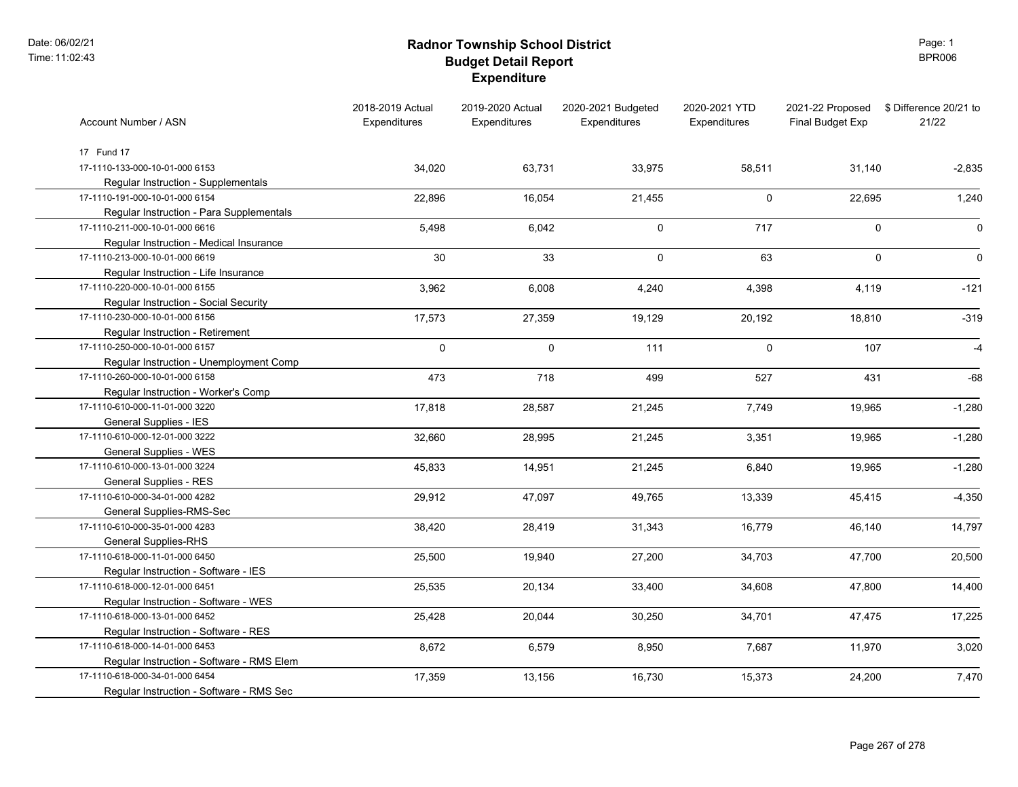### **Radnor Township School District Budget Detail Report Expenditure**

Page: 1 BPR006

| Account Number / ASN                      | 2018-2019 Actual<br>Expenditures | 2019-2020 Actual<br>Expenditures | 2020-2021 Budgeted<br>Expenditures | 2020-2021 YTD<br>Expenditures | 2021-22 Proposed<br>Final Budget Exp | \$ Difference 20/21 to<br>21/22 |
|-------------------------------------------|----------------------------------|----------------------------------|------------------------------------|-------------------------------|--------------------------------------|---------------------------------|
| 17 Fund 17                                |                                  |                                  |                                    |                               |                                      |                                 |
| 17-1110-133-000-10-01-000 6153            | 34,020                           | 63,731                           | 33,975                             | 58,511                        | 31,140                               | $-2,835$                        |
| Regular Instruction - Supplementals       |                                  |                                  |                                    |                               |                                      |                                 |
| 17-1110-191-000-10-01-000 6154            | 22,896                           | 16,054                           | 21,455                             | $\mathbf 0$                   | 22,695                               | 1,240                           |
| Regular Instruction - Para Supplementals  |                                  |                                  |                                    |                               |                                      |                                 |
| 17-1110-211-000-10-01-000 6616            | 5,498                            | 6,042                            | $\mathbf 0$                        | 717                           | $\mathbf 0$                          | $\Omega$                        |
| Regular Instruction - Medical Insurance   |                                  |                                  |                                    |                               |                                      |                                 |
| 17-1110-213-000-10-01-000 6619            | 30                               | 33                               | $\mathsf{O}\phantom{0}$            | 63                            | $\mathbf 0$                          | $\mathbf 0$                     |
| Regular Instruction - Life Insurance      |                                  |                                  |                                    |                               |                                      |                                 |
| 17-1110-220-000-10-01-000 6155            | 3,962                            | 6,008                            | 4,240                              | 4,398                         | 4,119                                | $-121$                          |
| Regular Instruction - Social Security     |                                  |                                  |                                    |                               |                                      |                                 |
| 17-1110-230-000-10-01-000 6156            | 17,573                           | 27,359                           | 19,129                             | 20,192                        | 18,810                               | $-319$                          |
| Regular Instruction - Retirement          |                                  |                                  |                                    |                               |                                      |                                 |
| 17-1110-250-000-10-01-000 6157            | $\mathbf 0$                      | $\mathbf 0$                      | 111                                | $\Omega$                      | 107                                  | $-4$                            |
| Regular Instruction - Unemployment Comp   |                                  |                                  |                                    |                               |                                      |                                 |
| 17-1110-260-000-10-01-000 6158            | 473                              | 718                              | 499                                | 527                           | 431                                  | $-68$                           |
| Regular Instruction - Worker's Comp       |                                  |                                  |                                    |                               |                                      |                                 |
| 17-1110-610-000-11-01-000 3220            | 17,818                           | 28,587                           | 21,245                             | 7,749                         | 19,965                               | $-1,280$                        |
| General Supplies - IES                    |                                  |                                  |                                    |                               |                                      |                                 |
| 17-1110-610-000-12-01-000 3222            | 32,660                           | 28,995                           | 21,245                             | 3,351                         | 19,965                               | $-1,280$                        |
| <b>General Supplies - WES</b>             |                                  |                                  |                                    |                               |                                      |                                 |
| 17-1110-610-000-13-01-000 3224            | 45,833                           | 14,951                           | 21,245                             | 6,840                         | 19,965                               | $-1,280$                        |
| General Supplies - RES                    |                                  |                                  |                                    |                               |                                      |                                 |
| 17-1110-610-000-34-01-000 4282            | 29,912                           | 47,097                           | 49,765                             | 13,339                        | 45,415                               | $-4,350$                        |
| General Supplies-RMS-Sec                  |                                  |                                  |                                    |                               |                                      |                                 |
| 17-1110-610-000-35-01-000 4283            | 38,420                           | 28,419                           | 31,343                             | 16,779                        | 46,140                               | 14,797                          |
| General Supplies-RHS                      |                                  |                                  |                                    |                               |                                      |                                 |
| 17-1110-618-000-11-01-000 6450            | 25,500                           | 19,940                           | 27,200                             | 34,703                        | 47,700                               | 20,500                          |
| Regular Instruction - Software - IES      |                                  |                                  |                                    |                               |                                      |                                 |
| 17-1110-618-000-12-01-000 6451            | 25,535                           | 20,134                           | 33,400                             | 34,608                        | 47,800                               | 14,400                          |
| Regular Instruction - Software - WES      |                                  |                                  |                                    |                               |                                      |                                 |
| 17-1110-618-000-13-01-000 6452            | 25,428                           | 20,044                           | 30,250                             | 34,701                        | 47,475                               | 17,225                          |
| Regular Instruction - Software - RES      |                                  |                                  |                                    |                               |                                      |                                 |
| 17-1110-618-000-14-01-000 6453            | 8,672                            | 6,579                            | 8,950                              | 7,687                         | 11,970                               | 3,020                           |
| Regular Instruction - Software - RMS Elem |                                  |                                  |                                    |                               |                                      |                                 |
| 17-1110-618-000-34-01-000 6454            | 17,359                           | 13,156                           | 16,730                             | 15,373                        | 24,200                               | 7,470                           |
| Regular Instruction - Software - RMS Sec  |                                  |                                  |                                    |                               |                                      |                                 |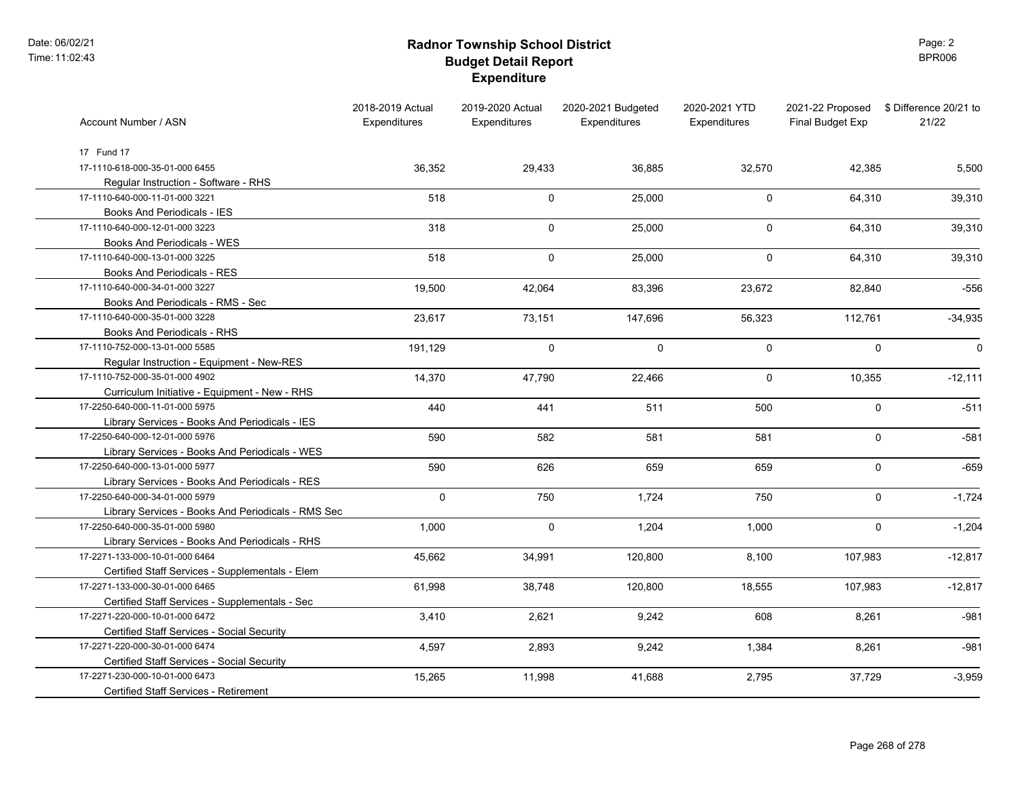### **Radnor Township School District Budget Detail Report Expenditure**

Page: 2 BPR006

| Account Number / ASN                               | 2018-2019 Actual<br>Expenditures | 2019-2020 Actual<br><b>Expenditures</b> | 2020-2021 Budgeted<br>Expenditures | 2020-2021 YTD<br>Expenditures | 2021-22 Proposed<br>Final Budget Exp | \$ Difference 20/21 to<br>21/22 |
|----------------------------------------------------|----------------------------------|-----------------------------------------|------------------------------------|-------------------------------|--------------------------------------|---------------------------------|
| 17 Fund 17                                         |                                  |                                         |                                    |                               |                                      |                                 |
| 17-1110-618-000-35-01-000 6455                     | 36,352                           | 29,433                                  | 36,885                             | 32,570                        | 42,385                               | 5,500                           |
| Regular Instruction - Software - RHS               |                                  |                                         |                                    |                               |                                      |                                 |
| 17-1110-640-000-11-01-000 3221                     | 518                              | 0                                       | 25,000                             | $\mathbf 0$                   | 64,310                               | 39,310                          |
| Books And Periodicals - IES                        |                                  |                                         |                                    |                               |                                      |                                 |
| 17-1110-640-000-12-01-000 3223                     | 318                              | $\pmb{0}$                               | 25,000                             | 0                             | 64,310                               | 39,310                          |
| Books And Periodicals - WES                        |                                  |                                         |                                    |                               |                                      |                                 |
| 17-1110-640-000-13-01-000 3225                     | 518                              | $\mathbf 0$                             | 25,000                             | $\mathbf 0$                   | 64,310                               | 39,310                          |
| Books And Periodicals - RES                        |                                  |                                         |                                    |                               |                                      |                                 |
| 17-1110-640-000-34-01-000 3227                     | 19,500                           | 42,064                                  | 83,396                             | 23,672                        | 82,840                               | $-556$                          |
| Books And Periodicals - RMS - Sec                  |                                  |                                         |                                    |                               |                                      |                                 |
| 17-1110-640-000-35-01-000 3228                     | 23,617                           | 73,151                                  | 147,696                            | 56,323                        | 112,761                              | $-34,935$                       |
| Books And Periodicals - RHS                        |                                  |                                         |                                    |                               |                                      |                                 |
| 17-1110-752-000-13-01-000 5585                     | 191,129                          | $\pmb{0}$                               | $\mathbf 0$                        | $\mathbf 0$                   | $\pmb{0}$                            | $\mathbf 0$                     |
| Regular Instruction - Equipment - New-RES          |                                  |                                         |                                    |                               |                                      |                                 |
| 17-1110-752-000-35-01-000 4902                     | 14,370                           | 47,790                                  | 22,466                             | $\mathbf 0$                   | 10,355                               | $-12,111$                       |
| Curriculum Initiative - Equipment - New - RHS      |                                  |                                         |                                    |                               |                                      |                                 |
| 17-2250-640-000-11-01-000 5975                     | 440                              | 441                                     | 511                                | 500                           | $\mathsf 0$                          | $-511$                          |
| Library Services - Books And Periodicals - IES     |                                  |                                         |                                    |                               |                                      |                                 |
| 17-2250-640-000-12-01-000 5976                     | 590                              | 582                                     | 581                                | 581                           | $\mathsf 0$                          | $-581$                          |
| Library Services - Books And Periodicals - WES     |                                  |                                         |                                    |                               |                                      |                                 |
| 17-2250-640-000-13-01-000 5977                     | 590                              | 626                                     | 659                                | 659                           | $\mathsf{O}$                         | $-659$                          |
| Library Services - Books And Periodicals - RES     |                                  |                                         |                                    |                               |                                      |                                 |
| 17-2250-640-000-34-01-000 5979                     | 0                                | 750                                     | 1,724                              | 750                           | $\mathbf 0$                          | $-1,724$                        |
| Library Services - Books And Periodicals - RMS Sec |                                  |                                         |                                    |                               |                                      |                                 |
| 17-2250-640-000-35-01-000 5980                     | 1,000                            | $\mathbf 0$                             | 1,204                              | 1,000                         | $\mathbf 0$                          | $-1,204$                        |
| Library Services - Books And Periodicals - RHS     |                                  |                                         |                                    |                               |                                      |                                 |
| 17-2271-133-000-10-01-000 6464                     | 45,662                           | 34,991                                  | 120,800                            | 8,100                         | 107,983                              | $-12,817$                       |
| Certified Staff Services - Supplementals - Elem    |                                  |                                         |                                    |                               |                                      |                                 |
| 17-2271-133-000-30-01-000 6465                     | 61,998                           | 38,748                                  | 120,800                            | 18,555                        | 107,983                              | $-12,817$                       |
| Certified Staff Services - Supplementals - Sec     |                                  |                                         |                                    |                               |                                      |                                 |
| 17-2271-220-000-10-01-000 6472                     | 3,410                            | 2,621                                   | 9,242                              | 608                           | 8,261                                | $-981$                          |
| Certified Staff Services - Social Security         |                                  |                                         |                                    |                               |                                      |                                 |
| 17-2271-220-000-30-01-000 6474                     | 4,597                            | 2,893                                   | 9,242                              | 1,384                         | 8,261                                | $-981$                          |
| Certified Staff Services - Social Security         |                                  |                                         |                                    |                               |                                      |                                 |
| 17-2271-230-000-10-01-000 6473                     | 15,265                           | 11,998                                  | 41,688                             | 2,795                         | 37,729                               | $-3,959$                        |
| <b>Certified Staff Services - Retirement</b>       |                                  |                                         |                                    |                               |                                      |                                 |